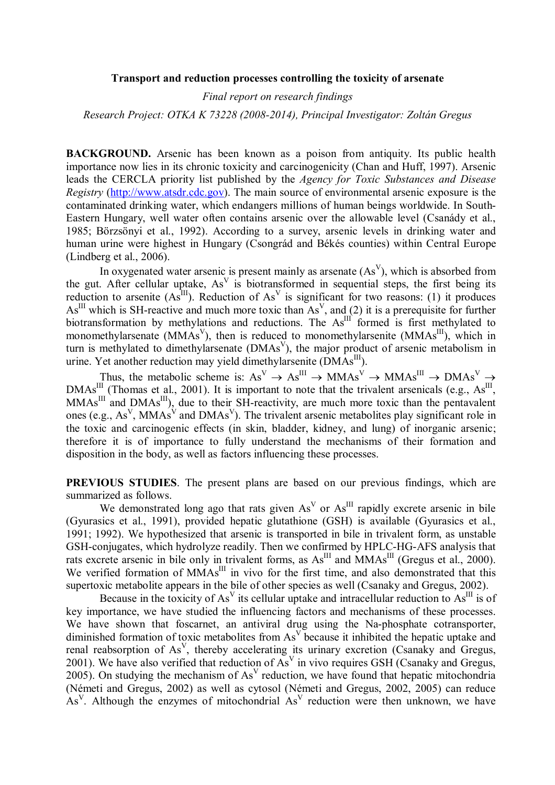#### **Transport and reduction processes controlling the toxicity of arsenate**

*Final report on research findings*

*Research Project: OTKA K 73228 (2008-2014), Principal Investigator: Zoltán Gregus*

**BACKGROUND.** Arsenic has been known as a poison from antiquity. Its public health importance now lies in its chronic toxicity and carcinogenicity (Chan and Huff, 1997). Arsenic leads the CERCLA priority list published by the *Agency for Toxic Substances and Disease Registry* (http://www.atsdr.cdc.gov). The main source of environmental arsenic exposure is the contaminated drinking water, which endangers millions of human beings worldwide. In South-Eastern Hungary, well water often contains arsenic over the allowable level (Csanády et al., 1985; Börzsönyi et al., 1992). According to a survey, arsenic levels in drinking water and human urine were highest in Hungary (Csongrád and Békés counties) within Central Europe (Lindberg et al., 2006).

In oxygenated water arsenic is present mainly as arsenate  $(As<sup>V</sup>)$ , which is absorbed from the gut. After cellular uptake,  $As<sup>V</sup>$  is biotransformed in sequential steps, the first being its reduction to arsenite  $(As^{III})$ . Reduction of  $As<sup>V</sup>$  is significant for two reasons: (1) it produces  $As<sup>III</sup>$  which is SH-reactive and much more toxic than As<sup>V</sup>, and (2) it is a prerequisite for further biotransformation by methylations and reductions. The  $As^{III}$  formed is first methylated to monomethylarsenate (MMAs<sup>V</sup>), then is reduced to monomethylarsenite (MMAs<sup>III</sup>), which in turn is methylated to dimethylarsenate  $(DMAs<sup>V</sup>)$ , the major product of arsenic metabolism in urine. Yet another reduction may yield dimethylarsenite (DMAs<sup>III</sup>).

Thus, the metabolic scheme is:  $As^V \rightarrow As^{III} \rightarrow MMAs^V \rightarrow MMAs^{III} \rightarrow DMAs^V \rightarrow$ DMAs<sup>III</sup> (Thomas et al., 2001). It is important to note that the trivalent arsenicals (e.g.,  $\text{As}^{\text{III}}$ ,  $MMAs<sup>III</sup>$  and  $DMAs<sup>III</sup>$ ), due to their SH-reactivity, are much more toxic than the pentavalent ones (e.g.,  $As<sup>V</sup>$ , MMAs<sup>V</sup> and DMAs<sup>V</sup>). The trivalent arsenic metabolites play significant role in the toxic and carcinogenic effects (in skin, bladder, kidney, and lung) of inorganic arsenic; therefore it is of importance to fully understand the mechanisms of their formation and disposition in the body, as well as factors influencing these processes.

**PREVIOUS STUDIES**. The present plans are based on our previous findings, which are summarized as follows.

We demonstrated long ago that rats given  $As<sup>V</sup>$  or  $As<sup>III</sup>$  rapidly excrete arsenic in bile (Gyurasics et al., 1991), provided hepatic glutathione (GSH) is available (Gyurasics et al., 1991; 1992). We hypothesized that arsenic is transported in bile in trivalent form, as unstable GSH-conjugates, which hydrolyze readily. Then we confirmed by HPLC-HG-AFS analysis that rats excrete arsenic in bile only in trivalent forms, as  $\text{As}^{\text{III}}$  and  $\text{MMAs}^{\text{III}}$  (Gregus et al., 2000). We verified formation of MMAs<sup>III</sup> in vivo for the first time, and also demonstrated that this supertoxic metabolite appears in the bile of other species as well (Csanaky and Gregus, 2002).

Because in the toxicity of  $As<sup>V</sup>$  its cellular uptake and intracellular reduction to  $As<sup>III</sup>$  is of key importance, we have studied the influencing factors and mechanisms of these processes. We have shown that foscarnet, an antiviral drug using the Na-phosphate cotransporter, diminished formation of toxic metabolites from  $As<sup>V</sup>$  because it inhibited the hepatic uptake and renal reabsorption of  $As<sup>V</sup>$ , thereby accelerating its urinary excretion (Csanaky and Gregus, 2001). We have also verified that reduction of  $As<sup>V</sup>$  in vivo requires GSH (Csanaky and Gregus, 2005). On studying the mechanism of  $As<sup>V</sup>$  reduction, we have found that hepatic mitochondria (Németi and Gregus, 2002) as well as cytosol (Németi and Gregus, 2002, 2005) can reduce  $As<sup>V</sup>$ . Although the enzymes of mitochondrial  $As<sup>V</sup>$  reduction were then unknown, we have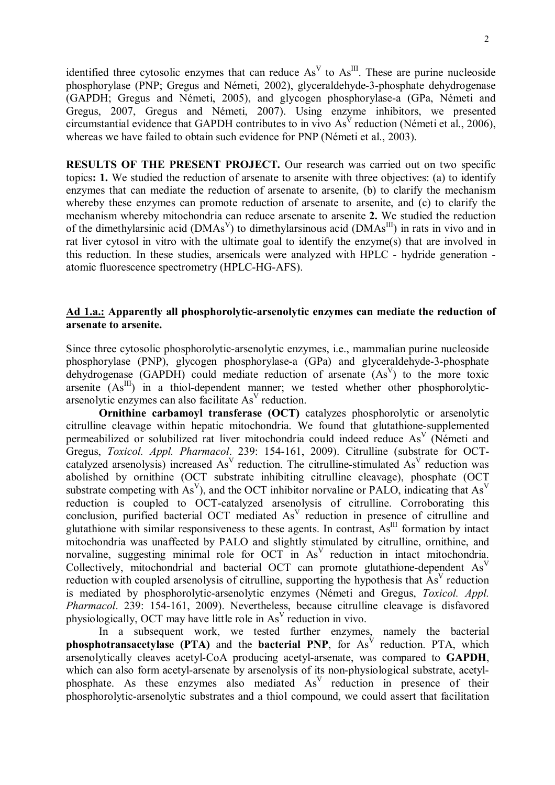identified three cytosolic enzymes that can reduce  $As<sup>V</sup>$  to  $As<sup>III</sup>$ . These are purine nucleoside phosphorylase (PNP; Gregus and Németi, 2002), glyceraldehyde-3-phosphate dehydrogenase (GAPDH; Gregus and Németi, 2005), and glycogen phosphorylase-a (GPa, Németi and Gregus, 2007, Gregus and Németi, 2007). Using enzyme inhibitors, we presented circumstantial evidence that GAPDH contributes to in vivo  $As<sup>V</sup>$  reduction (Németi et al., 2006), whereas we have failed to obtain such evidence for PNP (Németi et al., 2003).

**RESULTS OF THE PRESENT PROJECT.** Our research was carried out on two specific topics**: 1.** We studied the reduction of arsenate to arsenite with three objectives: (a) to identify enzymes that can mediate the reduction of arsenate to arsenite, (b) to clarify the mechanism whereby these enzymes can promote reduction of arsenate to arsenite, and (c) to clarify the mechanism whereby mitochondria can reduce arsenate to arsenite **2.** We studied the reduction of the dimethylarsinic acid (DMAs<sup>V</sup>) to dimethylarsinous acid (DMAs<sup>III</sup>) in rats in vivo and in rat liver cytosol in vitro with the ultimate goal to identify the enzyme(s) that are involved in this reduction. In these studies, arsenicals were analyzed with HPLC - hydride generation atomic fluorescence spectrometry (HPLC-HG-AFS).

### **Ad 1.a.: Apparently all phosphorolytic-arsenolytic enzymes can mediate the reduction of arsenate to arsenite.**

Since three cytosolic phosphorolytic-arsenolytic enzymes, i.e., mammalian purine nucleoside phosphorylase (PNP), glycogen phosphorylase-a (GPa) and glyceraldehyde-3-phosphate dehydrogenase (GAPDH) could mediate reduction of arsenate  $(As<sup>V</sup>)$  to the more toxic arsenite  $(As<sup>III</sup>)$  in a thiol-dependent manner; we tested whether other phosphorolyticarsenolytic enzymes can also facilitate  $As<sup>V</sup>$  reduction.

**Ornithine carbamoyl transferase (OCT)** catalyzes phosphorolytic or arsenolytic citrulline cleavage within hepatic mitochondria. We found that glutathione-supplemented permeabilized or solubilized rat liver mitochondria could indeed reduce As<sup>V</sup> (Németi and Gregus, *Toxicol. Appl. Pharmacol*. 239: 154-161, 2009). Citrulline (substrate for OCTcatalyzed arsenolysis) increased  $As<sup>V</sup>$  reduction. The citrulline-stimulated  $As<sup>V</sup>$  reduction was abolished by ornithine (OCT substrate inhibiting citrulline cleavage), phosphate (OCT substrate competing with As<sup>V</sup>), and the OCT inhibitor norvaline or PALO, indicating that As<sup>V</sup> reduction is coupled to OCT-catalyzed arsenolysis of citrulline. Corroborating this conclusion, purified bacterial OCT mediated As<sup>V</sup> reduction in presence of citrulline and glutathione with similar responsiveness to these agents. In contrast,  $As<sup>III</sup>$  formation by intact mitochondria was unaffected by PALO and slightly stimulated by citrulline, ornithine, and norvaline, suggesting minimal role for OCT in  $As<sup>V</sup>$  reduction in intact mitochondria. Collectively, mitochondrial and bacterial OCT can promote glutathione-dependent As<sup>V</sup> reduction with coupled arsenolysis of citrulline, supporting the hypothesis that  $As<sup>V</sup>$  reduction is mediated by phosphorolytic-arsenolytic enzymes (Németi and Gregus, *Toxicol. Appl. Pharmacol*. 239: 154-161, 2009). Nevertheless, because citrulline cleavage is disfavored physiologically, OCT may have little role in  $As<sup>V</sup>$  reduction in vivo.

In a subsequent work, we tested further enzymes, namely the bacterial **phosphotransacetylase (PTA)** and the **bacterial PNP**, for As<sup>V</sup> reduction. PTA, which arsenolytically cleaves acetyl-CoA producing acetyl-arsenate, was compared to **GAPDH**, which can also form acetyl-arsenate by arsenolysis of its non-physiological substrate, acetylphosphate. As these enzymes also mediated  $As<sup>V</sup>$  reduction in presence of their phosphorolytic-arsenolytic substrates and a thiol compound, we could assert that facilitation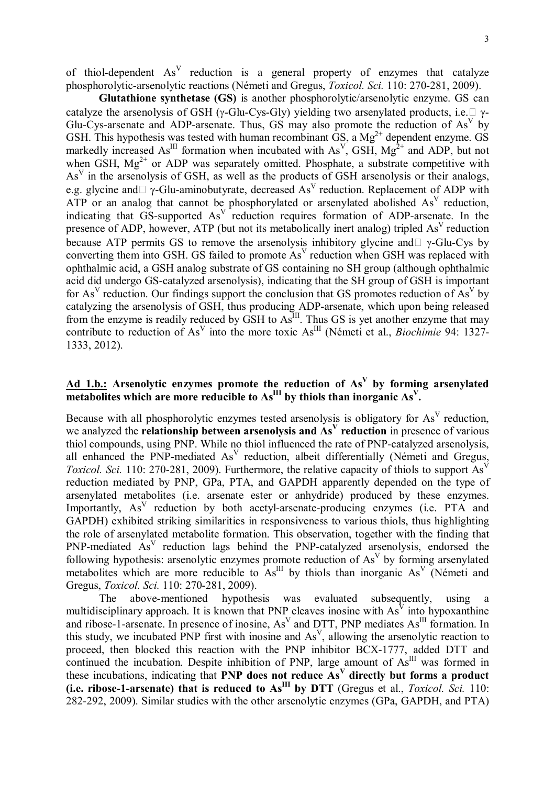of thiol-dependent  $As<sup>V</sup>$  reduction is a general property of enzymes that catalyze phosphorolytic-arsenolytic reactions (Németi and Gregus, *Toxicol. Sci.* 110: 270-281, 2009).

**Glutathione synthetase (GS)** is another phosphorolytic/arsenolytic enzyme. GS can catalyze the arsenolysis of GSH ( $\gamma$ -Glu-Cys-Gly) yielding two arsenylated products, i.e.  $\Box \gamma$ -Glu-Cys-arsenate and ADP-arsenate. Thus, GS may also promote the reduction of  $As<sup>V</sup>$  by GSH. This hypothesis was tested with human recombinant  $\overline{GS}$ , a Mg<sup>2+</sup> dependent enzyme. GS markedly increased  $As<sup>III</sup>$  formation when incubated with  $As<sup>V</sup>$ , GSH,  $Mg<sup>2+</sup>$  and ADP, but not when GSH,  $Mg^{2+}$  or ADP was separately omitted. Phosphate, a substrate competitive with  $As<sup>V</sup>$  in the arsenolysis of GSH, as well as the products of GSH arsenolysis or their analogs, e.g. glycine and  $\neg$   $\gamma$ -Glu-aminobutyrate, decreased As<sup>V</sup> reduction. Replacement of ADP with ATP or an analog that cannot be phosphorylated or arsenylated abolished  $As<sup>V</sup>$  reduction, indicating that GS-supported As<sup>V</sup> reduction requires formation of ADP-arsenate. In the presence of ADP, however, ATP (but not its metabolically inert analog) tripled As<sup>V</sup> reduction because ATP permits GS to remove the arsenolysis inhibitory glycine and  $\sim$  -Glu-Cys by converting them into GSH. GS failed to promote  $As<sup>V</sup>$  reduction when GSH was replaced with ophthalmic acid, a GSH analog substrate of GS containing no SH group (although ophthalmic acid did undergo GS-catalyzed arsenolysis), indicating that the SH group of GSH is important for As<sup>V</sup> reduction. Our findings support the conclusion that GS promotes reduction of As<sup>V</sup> by catalyzing the arsenolysis of GSH, thus producing ADP-arsenate, which upon being released from the enzyme is readily reduced by GSH to As<sup>III</sup>. Thus GS is yet another enzyme that may contribute to reduction of As<sup>V</sup> into the more toxic As<sup>III</sup> (Németi et al., *Biochimie* 94: 1327-1333, 2012).

# **Ad 1.b.: Arsenolytic enzymes promote the reduction of As<sup>V</sup> by forming arsenylated metabolites which are more reducible to AsIII by thiols than inorganic As<sup>V</sup> .**

Because with all phosphorolytic enzymes tested arsenolysis is obligatory for  $As<sup>V</sup>$  reduction, we analyzed the **relationship between arsenolysis and**  $As<sup>V</sup>$  **reduction** in presence of various thiol compounds, using PNP. While no thiol influenced the rate of PNP-catalyzed arsenolysis, all enhanced the PNP-mediated  $As<sup>V</sup>$  reduction, albeit differentially (Németi and Gregus, Toxicol. Sci. 110: 270-281, 2009). Furthermore, the relative capacity of thiols to support As<sup>V</sup> reduction mediated by PNP, GPa, PTA, and GAPDH apparently depended on the type of arsenylated metabolites (i.e. arsenate ester or anhydride) produced by these enzymes. Importantly, As<sup>V</sup> reduction by both acetyl-arsenate-producing enzymes (i.e. PTA and GAPDH) exhibited striking similarities in responsiveness to various thiols, thus highlighting the role of arsenylated metabolite formation. This observation, together with the finding that PNP-mediated As<sup>V</sup> reduction lags behind the PNP-catalyzed arsenolysis, endorsed the following hypothesis: arsenolytic enzymes promote reduction of As<sup>V</sup> by forming arsenylated metabolites which are more reducible to  $As<sup>III</sup>$  by thiols than inorganic  $As<sup>V</sup>$  (Németi and Gregus, *Toxicol. Sci.* 110: 270-281, 2009).

The above-mentioned hypothesis was evaluated subsequently, using a multidisciplinary approach. It is known that PNP cleaves inosine with  $As<sup>V</sup>$  into hypoxanthine and ribose-1-arsenate. In presence of inosine,  $As<sup>V</sup>$  and DTT, PNP mediates  $As<sup>III</sup>$  formation. In this study, we incubated PNP first with inosine and  $As<sup>V</sup>$ , allowing the arsenolytic reaction to proceed, then blocked this reaction with the PNP inhibitor BCX-1777, added DTT and continued the incubation. Despite inhibition of PNP, large amount of  $A\acute{s}^{III}$  was formed in these incubations, indicating that PNP does not reduce As<sup>V</sup> directly but forms a product **(i.e. ribose-1-arsenate) that is reduced to AsIII by DTT** (Gregus et al., *Toxicol. Sci.* 110: 282-292, 2009). Similar studies with the other arsenolytic enzymes (GPa, GAPDH, and PTA)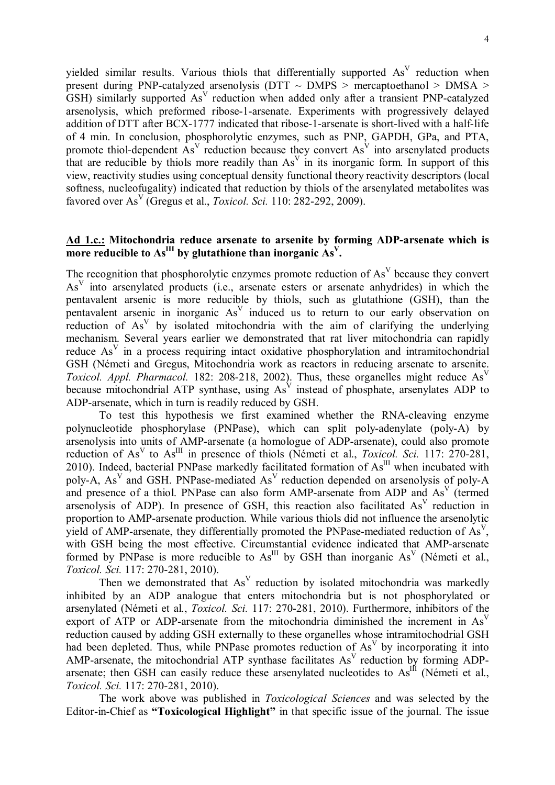yielded similar results. Various thiols that differentially supported  $As<sup>V</sup>$  reduction when present during PNP-catalyzed arsenolysis (DTT  $\sim$  DMPS  $>$  mercaptoethanol  $>$  DMSA  $>$  $GSH$ ) similarly supported As<sup>V</sup> reduction when added only after a transient PNP-catalyzed arsenolysis, which preformed ribose-1-arsenate. Experiments with progressively delayed addition of DTT after BCX-1777 indicated that ribose-1-arsenate is short-lived with a half-life of 4 min. In conclusion, phosphorolytic enzymes, such as PNP, GAPDH, GPa, and PTA, promote thiol-dependent  $As<sup>V</sup>$  reduction because they convert  $As<sup>V</sup>$  into arsenylated products that are reducible by thiols more readily than  $As<sup>V</sup>$  in its inorganic form. In support of this view, reactivity studies using conceptual density functional theory reactivity descriptors (local softness, nucleofugality) indicated that reduction by thiols of the arsenylated metabolites was favored over As<sup>V</sup> (Gregus et al., *Toxicol. Sci.* 110: 282-292, 2009).

## **Ad 1.c.: Mitochondria reduce arsenate to arsenite by forming ADP-arsenate which is more reducible to As III** by glutathione than inorganic As  $V$ .

The recognition that phosphorolytic enzymes promote reduction of  $As<sup>V</sup>$  because they convert As<sup>V</sup> into arsenylated products (i.e., arsenate esters or arsenate anhydrides) in which the pentavalent arsenic is more reducible by thiols, such as glutathione (GSH), than the pentavalent arsenic in inorganic As<sup>V</sup> induced us to return to our early observation on reduction of  $As<sup>V</sup>$  by isolated mitochondria with the aim of clarifying the underlying mechanism. Several years earlier we demonstrated that rat liver mitochondria can rapidly reduce  $As<sup>V</sup>$  in a process requiring intact oxidative phosphorylation and intramitochondrial GSH (Németi and Gregus, Mitochondria work as reactors in reducing arsenate to arsenite. *Toxicol. Appl. Pharmacol.* 182: 208-218, 2002). Thus, these organelles might reduce As<sup>V</sup> because mitochondrial ATP synthase, using  $As<sup>V</sup>$  instead of phosphate, arsenylates ADP to ADP-arsenate, which in turn is readily reduced by GSH.

To test this hypothesis we first examined whether the RNA-cleaving enzyme polynucleotide phosphorylase (PNPase), which can split poly-adenylate (poly-A) by arsenolysis into units of AMP-arsenate (a homologue of ADP-arsenate), could also promote reduction of As<sup>V</sup> to As<sup>III</sup> in presence of thiols (Németi et al., *Toxicol. Sci.* 117: 270-281, 2010). Indeed, bacterial PNPase markedly facilitated formation of  $As<sup>III</sup>$  when incubated with poly-A,  $As<sup>V</sup>$  and GSH. PNPase-mediated  $As<sup>V</sup>$  reduction depended on arsenolysis of poly-A and presence of a thiol. PNPase can also form AMP-arsenate from ADP and As<sup>V</sup> (termed arsenolysis of ADP). In presence of GSH, this reaction also facilitated  $As<sup>V</sup>$  reduction in proportion to AMP-arsenate production. While various thiols did not influence the arsenolytic yield of AMP-arsenate, they differentially promoted the PNPase-mediated reduction of  $As<sup>V</sup>$ , with GSH being the most effective. Circumstantial evidence indicated that AMP-arsenate formed by PNPase is more reducible to  $As<sup>III</sup>$  by GSH than inorganic  $As<sup>V</sup>$  (Németi et al., *Toxicol. Sci.* 117: 270-281, 2010).

Then we demonstrated that  $As<sup>V</sup>$  reduction by isolated mitochondria was markedly inhibited by an ADP analogue that enters mitochondria but is not phosphorylated or arsenylated (Németi et al., *Toxicol. Sci.* 117: 270-281, 2010). Furthermore, inhibitors of the export of ATP or ADP-arsenate from the mitochondria diminished the increment in  $As<sup>V</sup>$ reduction caused by adding GSH externally to these organelles whose intramitochodrial GSH had been depleted. Thus, while PNPase promotes reduction of  $As<sup>V</sup>$  by incorporating it into AMP-arsenate, the mitochondrial ATP synthase facilitates  $As<sup>V</sup>$  reduction by forming ADParsenate; then GSH can easily reduce these arsenylated nucleotides to  $As<sup>III</sup>$  (Németi et al., *Toxicol. Sci.* 117: 270-281, 2010).

The work above was published in *Toxicological Sciences* and was selected by the Editor-in-Chief as **"Toxicological Highlight"** in that specific issue of the journal. The issue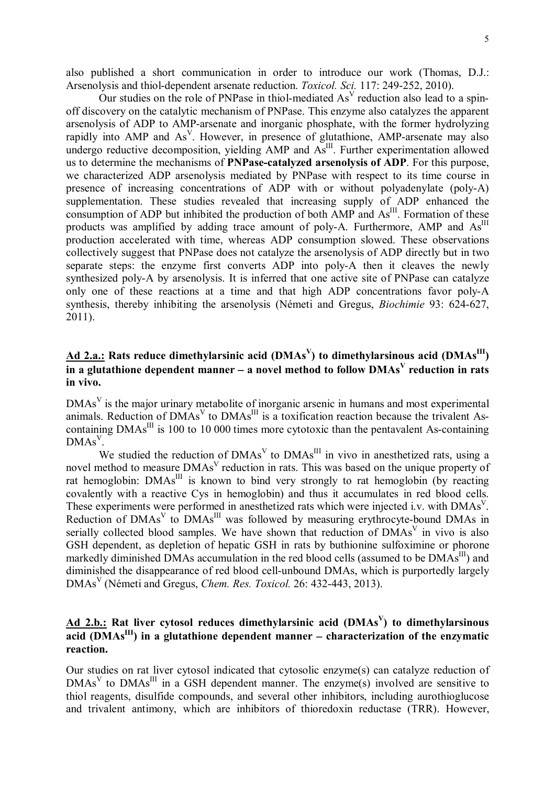also published a short communication in order to introduce our work (Thomas, D.J.: Arsenolysis and thiol-dependent arsenate reduction. *Toxicol. Sci.* 117: 249-252, 2010).

Our studies on the role of PNPase in thiol-mediated  $As<sup>V</sup>$  reduction also lead to a spinoff discovery on the catalytic mechanism of PNPase. This enzyme also catalyzes the apparent arsenolysis of ADP to AMP-arsenate and inorganic phosphate, with the former hydrolyzing rapidly into AMP and As<sup>V</sup>. However, in presence of glutathione, AMP-arsenate may also undergo reductive decomposition, yielding  $\overrightarrow{AMP}$  and  $\overrightarrow{As}$ <sup>III</sup>. Further experimentation allowed us to determine the mechanisms of **PNPase-catalyzed arsenolysis of ADP**. For this purpose, we characterized ADP arsenolysis mediated by PNPase with respect to its time course in presence of increasing concentrations of ADP with or without polyadenylate (poly-A) supplementation. These studies revealed that increasing supply of ADP enhanced the consumption of ADP but inhibited the production of both  $\overrightarrow{AMP}$  and  $\overrightarrow{As}^{III}$ . Formation of these products was amplified by adding trace amount of poly-A. Furthermore, AMP and As<sup>III</sup> production accelerated with time, whereas ADP consumption slowed. These observations collectively suggest that PNPase does not catalyze the arsenolysis of ADP directly but in two separate steps: the enzyme first converts ADP into poly-A then it cleaves the newly synthesized poly-A by arsenolysis. It is inferred that one active site of PNPase can catalyze only one of these reactions at a time and that high ADP concentrations favor poly-A synthesis, thereby inhibiting the arsenolysis (Németi and Gregus, *Biochimie* 93: 624-627, 2011).

# **Ad 2.a.: Rats reduce dimethylarsinic acid (DMAs<sup>V</sup> ) to dimethylarsinous acid (DMAsIII)**  in a glutathione dependent manner – a novel method to follow  $\text{DMAs}^{\text{V}}$  reduction in rats **in vivo.**

 $DMAs<sup>V</sup>$  is the major urinary metabolite of inorganic arsenic in humans and most experimental animals. Reduction of DMAs<sup>V</sup> to DMAs<sup>III</sup> is a toxification reaction because the trivalent Ascontaining  $DMAs<sup>III</sup>$  is 100 to 10 000 times more cytotoxic than the pentavalent As-containing  $DMAs<sup>V</sup>$ .

We studied the reduction of  $DMAs<sup>V</sup>$  to  $DMAs<sup>III</sup>$  in vivo in anesthetized rats, using a novel method to measure DMAs<sup>V</sup> reduction in rats. This was based on the unique property of rat hemoglobin:  $DMAs<sup>III</sup>$  is known to bind very strongly to rat hemoglobin (by reacting covalently with a reactive Cys in hemoglobin) and thus it accumulates in red blood cells. These experiments were performed in anesthetized rats which were injected i.v. with DMAs<sup>V</sup>. Reduction of  $DMAs<sup>V</sup>$  to  $DMAs<sup>III</sup>$  was followed by measuring erythrocyte-bound DMAs in serially collected blood samples. We have shown that reduction of DMAs<sup>V</sup> in vivo is also GSH dependent, as depletion of hepatic GSH in rats by buthionine sulfoximine or phorone markedly diminished DMAs accumulation in the red blood cells (assumed to be  $\text{DMAs}^{\text{III}}$ ) and diminished the disappearance of red blood cell-unbound DMAs, which is purportedly largely DMAs<sup>V</sup> (Németi and Gregus, *Chem. Res. Toxicol.* 26: 432-443, 2013).

# **Ad 2.b.: Rat liver cytosol reduces dimethylarsinic acid (DMAs<sup>V</sup> ) to dimethylarsinous acid (DMAsIII) in a glutathione dependent manner characterization of the enzymatic reaction.**

Our studies on rat liver cytosol indicated that cytosolic enzyme(s) can catalyze reduction of  $DMAs<sup>V</sup>$  to  $DMAs<sup>III</sup>$  in a GSH dependent manner. The enzyme(s) involved are sensitive to thiol reagents, disulfide compounds, and several other inhibitors, including aurothioglucose and trivalent antimony, which are inhibitors of thioredoxin reductase (TRR). However,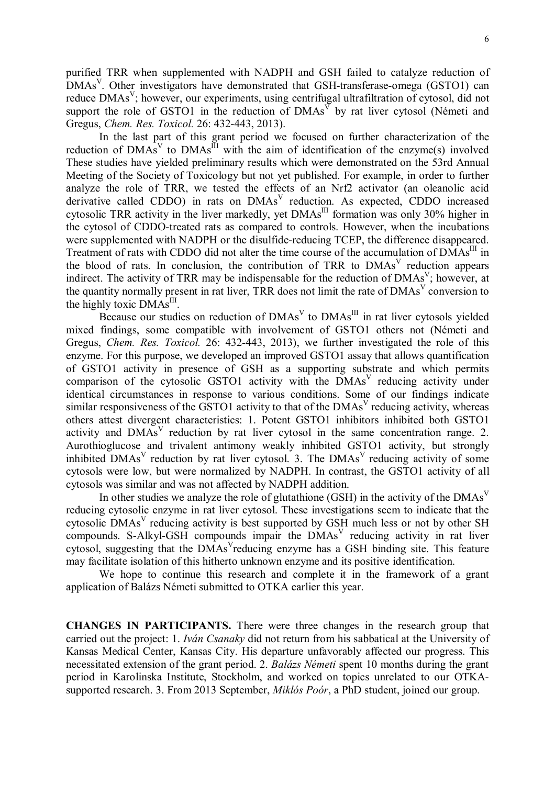purified TRR when supplemented with NADPH and GSH failed to catalyze reduction of  $\overline{DMAs}^V$ . Other investigators have demonstrated that GSH-transferase-omega (GSTO1) can reduce DMAs<sup>V</sup>; however, our experiments, using centrifugal ultrafiltration of cytosol, did not support the role of GSTO1 in the reduction of  $DMAs<sup>V</sup>$  by rat liver cytosol (Németi and Gregus, *Chem. Res. Toxicol.* 26: 432-443, 2013).

In the last part of this grant period we focused on further characterization of the reduction of DMAs<sup>V</sup> to DMAs<sup>III</sup> with the aim of identification of the enzyme(s) involved These studies have yielded preliminary results which were demonstrated on the 53rd Annual Meeting of the Society of Toxicology but not yet published. For example, in order to further analyze the role of TRR, we tested the effects of an Nrf2 activator (an oleanolic acid derivative called CDDO) in rats on DMAs<sup>V</sup> reduction. As expected, CDDO increased cytosolic TRR activity in the liver markedly, yet DMAs<sup>III</sup> formation was only 30% higher in the cytosol of CDDO-treated rats as compared to controls. However, when the incubations were supplemented with NADPH or the disulfide-reducing TCEP, the difference disappeared. Treatment of rats with CDDO did not alter the time course of the accumulation of DMAs<sup>III</sup> in the blood of rats. In conclusion, the contribution of TRR to DMAs<sup>V</sup> reduction appears indirect. The activity of TRR may be indispensable for the reduction of  $DMAs<sup>V</sup>$ ; however, at the quantity normally present in rat liver, TRR does not limit the rate of DMAs<sup>V</sup> conversion to the highly toxic DMAs<sup>III</sup>.

Because our studies on reduction of  $DMAs<sup>V</sup>$  to  $DMAs<sup>III</sup>$  in rat liver cytosols yielded mixed findings, some compatible with involvement of GSTO1 others not (Németi and Gregus, *Chem. Res. Toxicol.* 26: 432-443, 2013), we further investigated the role of this enzyme. For this purpose, we developed an improved GSTO1 assay that allows quantification of GSTO1 activity in presence of GSH as a supporting substrate and which permits comparison of the cytosolic GSTO1 activity with the  $DMAs<sup>V</sup>$  reducing activity under identical circumstances in response to various conditions. Some of our findings indicate similar responsiveness of the GSTO1 activity to that of the  $DMAs<sup>V</sup>$  reducing activity, whereas others attest divergent characteristics: 1. Potent GSTO1 inhibitors inhibited both GSTO1 activity and  $DMAs<sup>V</sup>$  reduction by rat liver cytosol in the same concentration range. 2. Aurothioglucose and trivalent antimony weakly inhibited GSTO1 activity, but strongly inhibited DMAs<sup>V</sup> reduction by rat liver cytosol. 3. The DMAs<sup>V</sup> reducing activity of some cytosols were low, but were normalized by NADPH. In contrast, the GSTO1 activity of all cytosols was similar and was not affected by NADPH addition.

In other studies we analyze the role of glutathione (GSH) in the activity of the  $DMAs<sup>V</sup>$ reducing cytosolic enzyme in rat liver cytosol. These investigations seem to indicate that the cytosolic DMAs<sup>V</sup> reducing activity is best supported by GSH much less or not by other SH compounds. S-Alkyl-GSH compounds impair the  $DMAs<sup>V</sup>$  reducing activity in rat liver cytosol, suggesting that the DMAs<sup>V</sup>reducing enzyme has a GSH binding site. This feature may facilitate isolation of this hitherto unknown enzyme and its positive identification.

We hope to continue this research and complete it in the framework of a grant application of Balázs Németi submitted to OTKA earlier this year.

**CHANGES IN PARTICIPANTS.** There were three changes in the research group that carried out the project: 1. *Iván Csanaky* did not return from his sabbatical at the University of Kansas Medical Center, Kansas City. His departure unfavorably affected our progress. This necessitated extension of the grant period. 2. *Balázs Németi* spent 10 months during the grant period in Karolinska Institute, Stockholm, and worked on topics unrelated to our OTKAsupported research. 3. From 2013 September, *Miklós Poór*, a PhD student, joined our group.